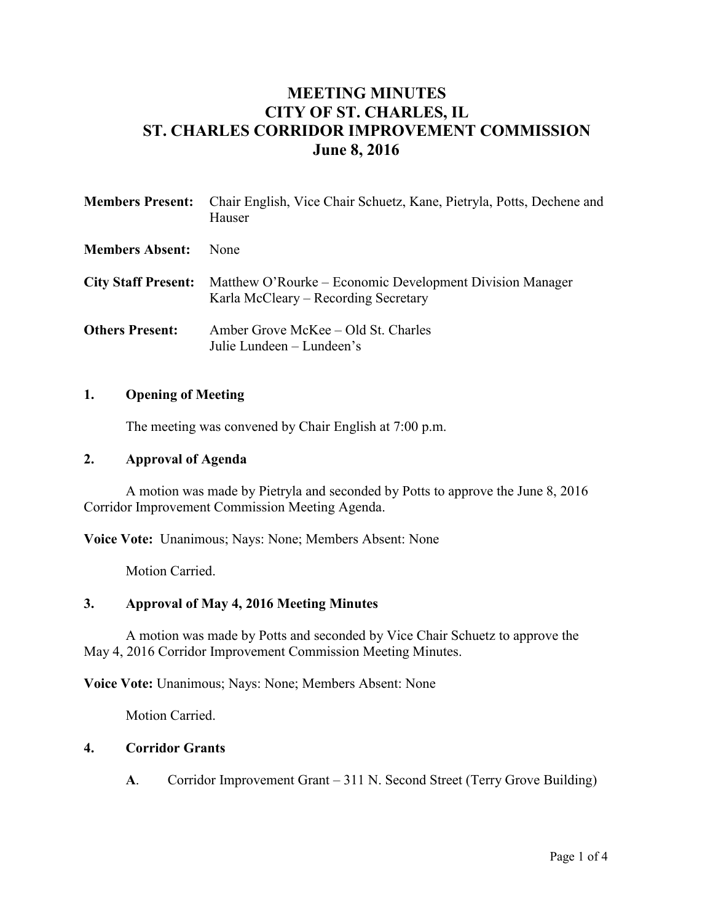# **MEETING MINUTES CITY OF ST. CHARLES, IL ST. CHARLES CORRIDOR IMPROVEMENT COMMISSION June 8, 2016**

|                        | <b>Members Present:</b> Chair English, Vice Chair Schuetz, Kane, Pietryla, Potts, Dechene and<br>Hauser                     |
|------------------------|-----------------------------------------------------------------------------------------------------------------------------|
| <b>Members Absent:</b> | <b>None</b>                                                                                                                 |
|                        | <b>City Staff Present:</b> Matthew O'Rourke – Economic Development Division Manager<br>Karla McCleary - Recording Secretary |
| <b>Others Present:</b> | Amber Grove McKee – Old St. Charles<br>Julie Lundeen – Lundeen's                                                            |

#### **1. Opening of Meeting**

The meeting was convened by Chair English at 7:00 p.m.

#### **2. Approval of Agenda**

A motion was made by Pietryla and seconded by Potts to approve the June 8, 2016 Corridor Improvement Commission Meeting Agenda.

**Voice Vote:** Unanimous; Nays: None; Members Absent: None

Motion Carried.

### **3. Approval of May 4, 2016 Meeting Minutes**

A motion was made by Potts and seconded by Vice Chair Schuetz to approve the May 4, 2016 Corridor Improvement Commission Meeting Minutes.

**Voice Vote:** Unanimous; Nays: None; Members Absent: None

Motion Carried.

#### **4. Corridor Grants**

**A**. Corridor Improvement Grant – 311 N. Second Street (Terry Grove Building)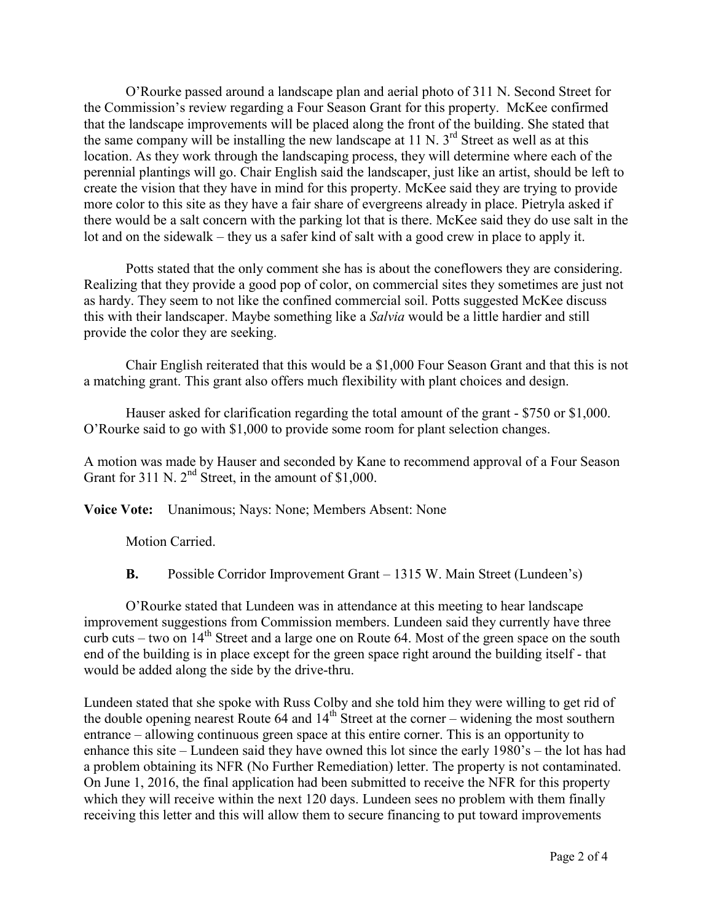O'Rourke passed around a landscape plan and aerial photo of 311 N. Second Street for the Commission's review regarding a Four Season Grant for this property. McKee confirmed that the landscape improvements will be placed along the front of the building. She stated that the same company will be installing the new landscape at  $11 \text{ N}$ .  $3^{\text{rd}}$  Street as well as at this location. As they work through the landscaping process, they will determine where each of the perennial plantings will go. Chair English said the landscaper, just like an artist, should be left to create the vision that they have in mind for this property. McKee said they are trying to provide more color to this site as they have a fair share of evergreens already in place. Pietryla asked if there would be a salt concern with the parking lot that is there. McKee said they do use salt in the lot and on the sidewalk – they us a safer kind of salt with a good crew in place to apply it.

Potts stated that the only comment she has is about the coneflowers they are considering. Realizing that they provide a good pop of color, on commercial sites they sometimes are just not as hardy. They seem to not like the confined commercial soil. Potts suggested McKee discuss this with their landscaper. Maybe something like a *Salvia* would be a little hardier and still provide the color they are seeking.

Chair English reiterated that this would be a \$1,000 Four Season Grant and that this is not a matching grant. This grant also offers much flexibility with plant choices and design.

Hauser asked for clarification regarding the total amount of the grant - \$750 or \$1,000. O'Rourke said to go with \$1,000 to provide some room for plant selection changes.

A motion was made by Hauser and seconded by Kane to recommend approval of a Four Season Grant for 311 N.  $2<sup>nd</sup>$  Street, in the amount of \$1,000.

**Voice Vote:** Unanimous; Nays: None; Members Absent: None

Motion Carried.

**B.** Possible Corridor Improvement Grant – 1315 W. Main Street (Lundeen's)

O'Rourke stated that Lundeen was in attendance at this meeting to hear landscape improvement suggestions from Commission members. Lundeen said they currently have three curb cuts – two on  $14<sup>th</sup>$  Street and a large one on Route 64. Most of the green space on the south end of the building is in place except for the green space right around the building itself - that would be added along the side by the drive-thru.

Lundeen stated that she spoke with Russ Colby and she told him they were willing to get rid of the double opening nearest Route 64 and 14<sup>th</sup> Street at the corner – widening the most southern entrance – allowing continuous green space at this entire corner. This is an opportunity to enhance this site – Lundeen said they have owned this lot since the early 1980's – the lot has had a problem obtaining its NFR (No Further Remediation) letter. The property is not contaminated. On June 1, 2016, the final application had been submitted to receive the NFR for this property which they will receive within the next 120 days. Lundeen sees no problem with them finally receiving this letter and this will allow them to secure financing to put toward improvements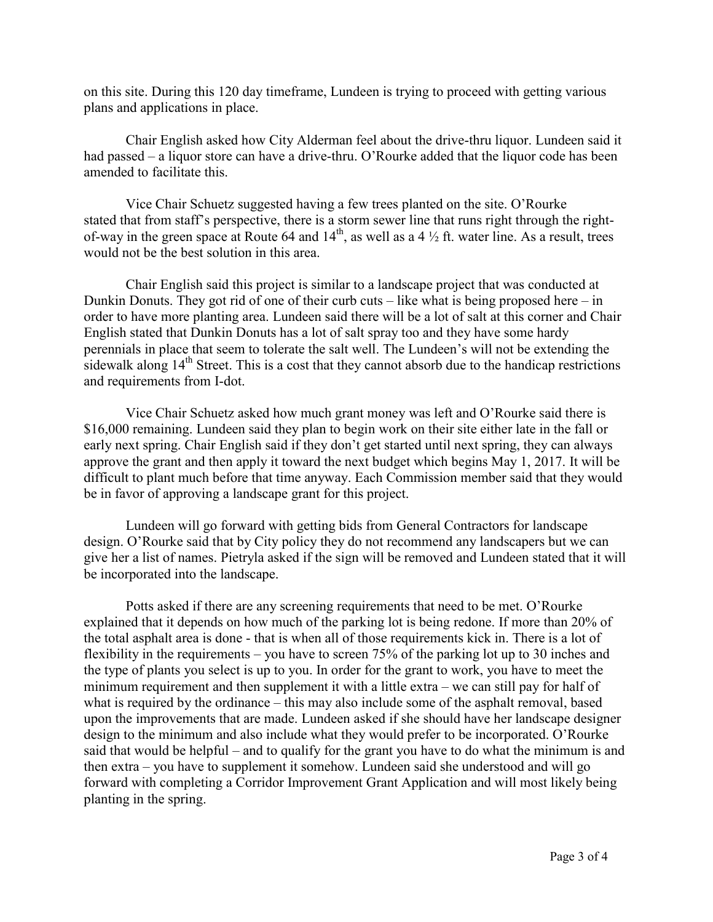on this site. During this 120 day timeframe, Lundeen is trying to proceed with getting various plans and applications in place.

Chair English asked how City Alderman feel about the drive-thru liquor. Lundeen said it had passed – a liquor store can have a drive-thru. O'Rourke added that the liquor code has been amended to facilitate this.

Vice Chair Schuetz suggested having a few trees planted on the site. O'Rourke stated that from staff's perspective, there is a storm sewer line that runs right through the rightof-way in the green space at Route 64 and  $14<sup>th</sup>$ , as well as a 4  $\frac{1}{2}$  ft. water line. As a result, trees would not be the best solution in this area.

Chair English said this project is similar to a landscape project that was conducted at Dunkin Donuts. They got rid of one of their curb cuts – like what is being proposed here – in order to have more planting area. Lundeen said there will be a lot of salt at this corner and Chair English stated that Dunkin Donuts has a lot of salt spray too and they have some hardy perennials in place that seem to tolerate the salt well. The Lundeen's will not be extending the sidewalk along  $14<sup>th</sup>$  Street. This is a cost that they cannot absorb due to the handicap restrictions and requirements from I-dot.

Vice Chair Schuetz asked how much grant money was left and O'Rourke said there is \$16,000 remaining. Lundeen said they plan to begin work on their site either late in the fall or early next spring. Chair English said if they don't get started until next spring, they can always approve the grant and then apply it toward the next budget which begins May 1, 2017. It will be difficult to plant much before that time anyway. Each Commission member said that they would be in favor of approving a landscape grant for this project.

Lundeen will go forward with getting bids from General Contractors for landscape design. O'Rourke said that by City policy they do not recommend any landscapers but we can give her a list of names. Pietryla asked if the sign will be removed and Lundeen stated that it will be incorporated into the landscape.

Potts asked if there are any screening requirements that need to be met. O'Rourke explained that it depends on how much of the parking lot is being redone. If more than 20% of the total asphalt area is done - that is when all of those requirements kick in. There is a lot of flexibility in the requirements – you have to screen 75% of the parking lot up to 30 inches and the type of plants you select is up to you. In order for the grant to work, you have to meet the minimum requirement and then supplement it with a little extra – we can still pay for half of what is required by the ordinance – this may also include some of the asphalt removal, based upon the improvements that are made. Lundeen asked if she should have her landscape designer design to the minimum and also include what they would prefer to be incorporated. O'Rourke said that would be helpful – and to qualify for the grant you have to do what the minimum is and then extra – you have to supplement it somehow. Lundeen said she understood and will go forward with completing a Corridor Improvement Grant Application and will most likely being planting in the spring.